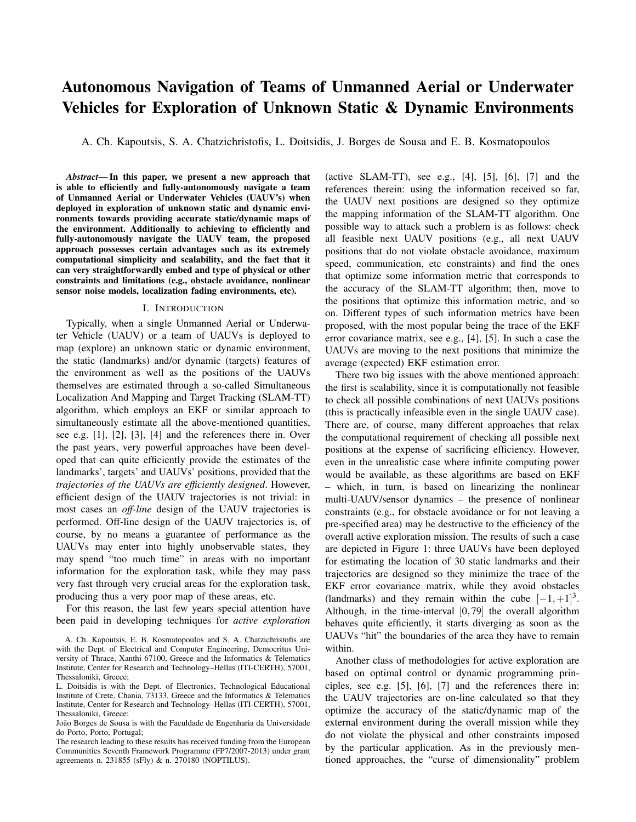# Autonomous Navigation of Teams of Unmanned Aerial or Underwater Vehicles for Exploration of Unknown Static & Dynamic Environments

A. Ch. Kapoutsis, S. A. Chatzichristofis, L. Doitsidis, J. Borges de Sousa and E. B. Kosmatopoulos

*Abstract*— In this paper, we present a new approach that is able to efficiently and fully-autonomously navigate a team of Unmanned Aerial or Underwater Vehicles (UAUV's) when deployed in exploration of unknown static and dynamic environments towards providing accurate static/dynamic maps of the environment. Additionally to achieving to efficiently and fully-autonomously navigate the UAUV team, the proposed approach possesses certain advantages such as its extremely computational simplicity and scalability, and the fact that it can very straightforwardly embed and type of physical or other constraints and limitations (e.g., obstacle avoidance, nonlinear sensor noise models, localization fading environments, etc).

#### I. INTRODUCTION

Typically, when a single Unmanned Aerial or Underwater Vehicle (UAUV) or a team of UAUVs is deployed to map (explore) an unknown static or dynamic environment, the static (landmarks) and/or dynamic (targets) features of the environment as well as the positions of the UAUVs themselves are estimated through a so-called Simultaneous Localization And Mapping and Target Tracking (SLAM-TT) algorithm, which employs an EKF or similar approach to simultaneously estimate all the above-mentioned quantities, see e.g. [1], [2], [3], [4] and the references there in. Over the past years, very powerful approaches have been developed that can quite efficiently provide the estimates of the landmarks', targets' and UAUVs' positions, provided that the *trajectories of the UAUVs are efficiently designed*. However, efficient design of the UAUV trajectories is not trivial: in most cases an *off-line* design of the UAUV trajectories is performed. Off-line design of the UAUV trajectories is, of course, by no means a guarantee of performance as the UAUVs may enter into highly unobservable states, they may spend "too much time" in areas with no important information for the exploration task, while they may pass very fast through very crucial areas for the exploration task, producing thus a very poor map of these areas, etc.

For this reason, the last few years special attention have been paid in developing techniques for *active exploration* (active SLAM-TT), see e.g.,  $[4]$ ,  $[5]$ ,  $[6]$ ,  $[7]$  and the references therein: using the information received so far, the UAUV next positions are designed so they optimize the mapping information of the SLAM-TT algorithm. One possible way to attack such a problem is as follows: check all feasible next UAUV positions (e.g., all next UAUV positions that do not violate obstacle avoidance, maximum speed, communication, etc constraints) and find the ones that optimize some information metric that corresponds to the accuracy of the SLAM-TT algorithm; then, move to the positions that optimize this information metric, and so on. Different types of such information metrics have been proposed, with the most popular being the trace of the EKF error covariance matrix, see e.g., [4], [5]. In such a case the UAUVs are moving to the next positions that minimize the average (expected) EKF estimation error.

There two big issues with the above mentioned approach: the first is scalability, since it is computationally not feasible to check all possible combinations of next UAUVs positions (this is practically infeasible even in the single UAUV case). There are, of course, many different approaches that relax the computational requirement of checking all possible next positions at the expense of sacrificing efficiency. However, even in the unrealistic case where infinite computing power would be available, as these algorithms are based on EKF – which, in turn, is based on linearizing the nonlinear multi-UAUV/sensor dynamics – the presence of nonlinear constraints (e.g., for obstacle avoidance or for not leaving a pre-specified area) may be destructive to the efficiency of the overall active exploration mission. The results of such a case are depicted in Figure 1: three UAUVs have been deployed for estimating the location of 30 static landmarks and their trajectories are designed so they minimize the trace of the EKF error covariance matrix, while they avoid obstacles (landmarks) and they remain within the cube  $[-1, +1]^3$ . Although, in the time-interval [0,79] the overall algorithm behaves quite efficiently, it starts diverging as soon as the UAUVs "hit" the boundaries of the area they have to remain within.

Another class of methodologies for active exploration are based on optimal control or dynamic programming principles, see e.g. [5], [6], [7] and the references there in: the UAUV trajectories are on-line calculated so that they optimize the accuracy of the static/dynamic map of the external environment during the overall mission while they do not violate the physical and other constraints imposed by the particular application. As in the previously mentioned approaches, the "curse of dimensionality" problem

A. Ch. Kapoutsis, E. B. Kosmatopoulos and S. A. Chatzichristofis are with the Dept. of Electrical and Computer Engineering, Democritus University of Thrace, Xanthi 67100, Greece and the Informatics & Telematics Institute, Center for Research and Technology–Hellas (ITI-CERTH), 57001, Thessaloniki, Greece;

L. Doitsidis is with the Dept. of Electronics, Technological Educational Institute of Crete, Chania, 73133, Greece and the Informatics & Telematics Institute, Center for Research and Technology–Hellas (ITI-CERTH), 57001, Thessaloniki, Greece;

João Borges de Sousa is with the Faculdade de Engenharia da Universidade do Porto, Porto, Portugal;

The research leading to these results has received funding from the European Communities Seventh Framework Programme (FP7/2007-2013) under grant agreements n. 231855 (sFly) & n. 270180 (NOPTILUS).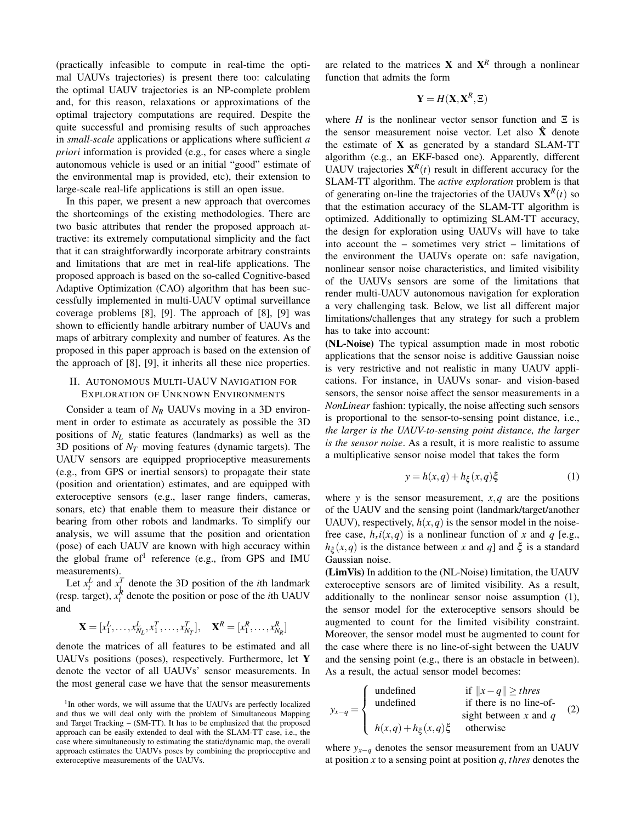(practically infeasible to compute in real-time the optimal UAUVs trajectories) is present there too: calculating the optimal UAUV trajectories is an NP-complete problem and, for this reason, relaxations or approximations of the optimal trajectory computations are required. Despite the quite successful and promising results of such approaches in *small-scale* applications or applications where sufficient *a priori* information is provided (e.g., for cases where a single autonomous vehicle is used or an initial "good" estimate of the environmental map is provided, etc), their extension to large-scale real-life applications is still an open issue.

In this paper, we present a new approach that overcomes the shortcomings of the existing methodologies. There are two basic attributes that render the proposed approach attractive: its extremely computational simplicity and the fact that it can straightforwardly incorporate arbitrary constraints and limitations that are met in real-life applications. The proposed approach is based on the so-called Cognitive-based Adaptive Optimization (CAO) algorithm that has been successfully implemented in multi-UAUV optimal surveillance coverage problems [8], [9]. The approach of [8], [9] was shown to efficiently handle arbitrary number of UAUVs and maps of arbitrary complexity and number of features. As the proposed in this paper approach is based on the extension of the approach of [8], [9], it inherits all these nice properties.

# II. AUTONOMOUS MULTI-UAUV NAVIGATION FOR EXPLORATION OF UNKNOWN ENVIRONMENTS

Consider a team of *N<sup>R</sup>* UAUVs moving in a 3D environment in order to estimate as accurately as possible the 3D positions of *N<sup>L</sup>* static features (landmarks) as well as the 3D positions of *N<sup>T</sup>* moving features (dynamic targets). The UAUV sensors are equipped proprioceptive measurements (e.g., from GPS or inertial sensors) to propagate their state (position and orientation) estimates, and are equipped with exteroceptive sensors (e.g., laser range finders, cameras, sonars, etc) that enable them to measure their distance or bearing from other robots and landmarks. To simplify our analysis, we will assume that the position and orientation (pose) of each UAUV are known with high accuracy within the global frame of<sup>1</sup> reference (e.g., from GPS and IMU measurements).

Let  $x_i^L$  and  $x_i^T$  denote the 3D position of the *i*th landmark (resp. target),  $x_i^R$  denote the position or pose of the *i*th UAUV and

$$
\mathbf{X} = [x_1^L, \dots, x_{N_L}^L, x_1^T, \dots, x_{N_T}^T], \quad \mathbf{X}^R = [x_1^R, \dots, x_{N_R}^R]
$$

denote the matrices of all features to be estimated and all UAUVs positions (poses), respectively. Furthermore, let Y denote the vector of all UAUVs' sensor measurements. In the most general case we have that the sensor measurements

are related to the matrices **X** and  $X^R$  through a nonlinear function that admits the form

$$
\mathbf{Y} = H(\mathbf{X}, \mathbf{X}^R, \Xi)
$$

where *H* is the nonlinear vector sensor function and  $\Xi$  is the sensor measurement noise vector. Let also  $\hat{X}$  denote the estimate of  $X$  as generated by a standard SLAM-TT algorithm (e.g., an EKF-based one). Apparently, different UAUV trajectories  $\mathbf{X}^R(t)$  result in different accuracy for the SLAM-TT algorithm. The *active exploration* problem is that of generating on-line the trajectories of the UAUVs  $\mathbf{X}^R(t)$  so that the estimation accuracy of the SLAM-TT algorithm is optimized. Additionally to optimizing SLAM-TT accuracy, the design for exploration using UAUVs will have to take into account the – sometimes very strict – limitations of the environment the UAUVs operate on: safe navigation, nonlinear sensor noise characteristics, and limited visibility of the UAUVs sensors are some of the limitations that render multi-UAUV autonomous navigation for exploration a very challenging task. Below, we list all different major limitations/challenges that any strategy for such a problem has to take into account:

(NL-Noise) The typical assumption made in most robotic applications that the sensor noise is additive Gaussian noise is very restrictive and not realistic in many UAUV applications. For instance, in UAUVs sonar- and vision-based sensors, the sensor noise affect the sensor measurements in a *NonLinear* fashion: typically, the noise affecting such sensors is proportional to the sensor-to-sensing point distance, i.e., *the larger is the UAUV-to-sensing point distance, the larger is the sensor noise*. As a result, it is more realistic to assume a multiplicative sensor noise model that takes the form

$$
y = h(x, q) + h_{\xi}(x, q)\xi
$$
 (1)

where *y* is the sensor measurement,  $x, q$  are the positions of the UAUV and the sensing point (landmark/target/another UAUV), respectively,  $h(x,q)$  is the sensor model in the noisefree case,  $h_x$ *i*(*x*,*q*) is a nonlinear function of *x* and *q* [e.g.,  $h_{\xi}(x,q)$  is the distance between *x* and *q*] and  $\xi$  is a standard Gaussian noise.

(LimVis) In addition to the (NL-Noise) limitation, the UAUV exteroceptive sensors are of limited visibility. As a result, additionally to the nonlinear sensor noise assumption (1), the sensor model for the exteroceptive sensors should be augmented to count for the limited visibility constraint. Moreover, the sensor model must be augmented to count for the case where there is no line-of-sight between the UAUV and the sensing point (e.g., there is an obstacle in between). As a result, the actual sensor model becomes:

$$
y_{x-q} = \begin{cases} \text{undefined} & \text{if } ||x - q|| \geq thres \\ \text{undefined} & \text{if there is no line-of-} \\ h(x,q) + h_{\xi}(x,q) \xi & \text{otherwise} \end{cases} \quad (2)
$$

where  $y_{x-q}$  denotes the sensor measurement from an UAUV at position *x* to a sensing point at position *q*, *thres* denotes the

<sup>&</sup>lt;sup>1</sup>In other words, we will assume that the UAUVs are perfectly localized and thus we will deal only with the problem of Simultaneous Mapping and Target Tracking – (SM-TT). It has to be emphasized that the proposed approach can be easily extended to deal with the SLAM-TT case, i.e., the case where simultaneously to estimating the static/dynamic map, the overall approach estimates the UAUVs poses by combining the proprioceptive and exteroceptive measurements of the UAUVs.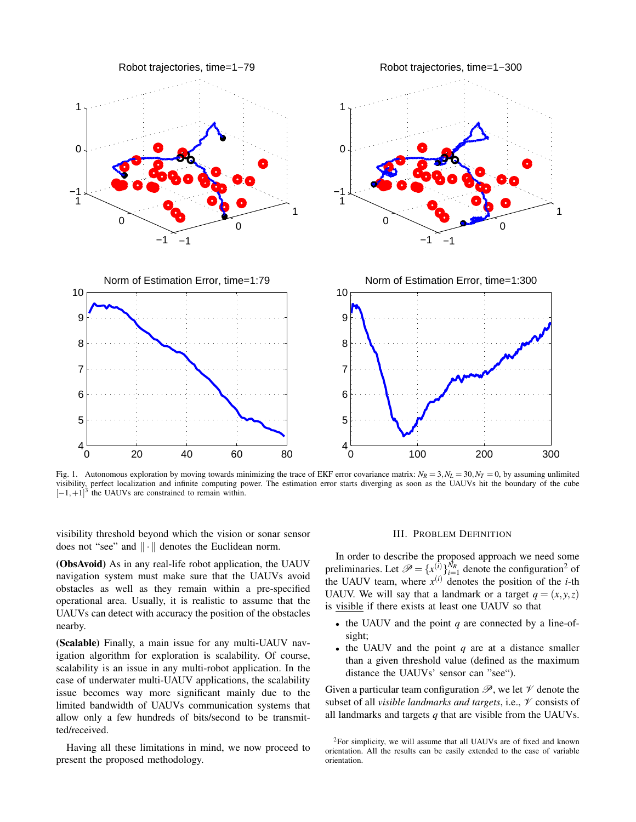

Fig. 1. Autonomous exploration by moving towards minimizing the trace of EKF error covariance matrix:  $N_R = 3$ ,  $N_L = 30$ ,  $N_T = 0$ , by assuming unlimited visibility, perfect localization and infinite computing power. The estimation error starts diverging as soon as the UAUVs hit the boundary of the cube  $[-1, +1]^3$  the UAUVs are constrained to remain within.

visibility threshold beyond which the vision or sonar sensor does not "see" and  $\|\cdot\|$  denotes the Euclidean norm.

(ObsAvoid) As in any real-life robot application, the UAUV navigation system must make sure that the UAUVs avoid obstacles as well as they remain within a pre-specified operational area. Usually, it is realistic to assume that the UAUVs can detect with accuracy the position of the obstacles nearby.

(Scalable) Finally, a main issue for any multi-UAUV navigation algorithm for exploration is scalability. Of course, scalability is an issue in any multi-robot application. In the case of underwater multi-UAUV applications, the scalability issue becomes way more significant mainly due to the limited bandwidth of UAUVs communication systems that allow only a few hundreds of bits/second to be transmitted/received.

Having all these limitations in mind, we now proceed to present the proposed methodology.

#### III. PROBLEM DEFINITION

In order to describe the proposed approach we need some preliminaries. Let  $\mathscr{P} = \{x_{i}^{(i)}\}_{i=1}^{N_R}$  denote the configuration<sup>2</sup> of the UAUV team, where  $x^{(i)}$  denotes the position of the *i*-th UAUV. We will say that a landmark or a target  $q = (x, y, z)$ is visible if there exists at least one UAUV so that

- the UAUV and the point *q* are connected by a line-ofsight;
- the UAUV and the point *q* are at a distance smaller than a given threshold value (defined as the maximum distance the UAUVs' sensor can "see").

Given a particular team configuration  $\mathscr{P}$ , we let  $\mathscr{V}$  denote the subset of all *visible landmarks and targets*, i.e., V consists of all landmarks and targets *q* that are visible from the UAUVs.

<sup>2</sup>For simplicity, we will assume that all UAUVs are of fixed and known orientation. All the results can be easily extended to the case of variable orientation.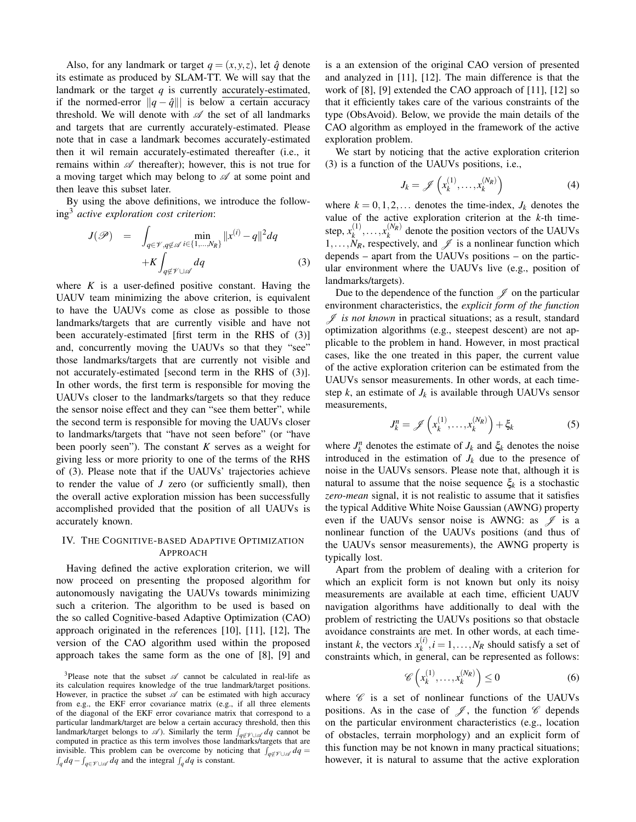Also, for any landmark or target  $q = (x, y, z)$ , let  $\hat{q}$  denote its estimate as produced by SLAM-TT. We will say that the landmark or the target  $q$  is currently accurately-estimated, if the normed-error  $||q - \hat{q}||$  is below a certain accuracy threshold. We will denote with  $\mathscr A$  the set of all landmarks and targets that are currently accurately-estimated. Please note that in case a landmark becomes accurately-estimated then it wil remain accurately-estimated thereafter (i.e., it remains within  $\mathscr A$  thereafter); however, this is not true for a moving target which may belong to  $\mathscr A$  at some point and then leave this subset later.

By using the above definitions, we introduce the following<sup>3</sup> *active exploration cost criterion*:

$$
J(\mathscr{P}) = \int_{q \in \mathscr{V}, q \notin \mathscr{A}} \min_{i \in \{1, ..., N_R\}} ||x^{(i)} - q||^2 dq
$$
  
+K \int\_{q \notin \mathscr{V} \cup \mathscr{A}} dq (3)

where  $K$  is a user-defined positive constant. Having the UAUV team minimizing the above criterion, is equivalent to have the UAUVs come as close as possible to those landmarks/targets that are currently visible and have not been accurately-estimated [first term in the RHS of (3)] and, concurrently moving the UAUVs so that they "see" those landmarks/targets that are currently not visible and not accurately-estimated [second term in the RHS of (3)]. In other words, the first term is responsible for moving the UAUVs closer to the landmarks/targets so that they reduce the sensor noise effect and they can "see them better", while the second term is responsible for moving the UAUVs closer to landmarks/targets that "have not seen before" (or "have been poorly seen"). The constant *K* serves as a weight for giving less or more priority to one of the terms of the RHS of (3). Please note that if the UAUVs' trajectories achieve to render the value of *J* zero (or sufficiently small), then the overall active exploration mission has been successfully accomplished provided that the position of all UAUVs is accurately known.

## IV. THE COGNITIVE-BASED ADAPTIVE OPTIMIZATION APPROACH

Having defined the active exploration criterion, we will now proceed on presenting the proposed algorithm for autonomously navigating the UAUVs towards minimizing such a criterion. The algorithm to be used is based on the so called Cognitive-based Adaptive Optimization (CAO) approach originated in the references [10], [11], [12], The version of the CAO algorithm used within the proposed approach takes the same form as the one of [8], [9] and is a an extension of the original CAO version of presented and analyzed in [11], [12]. The main difference is that the work of [8], [9] extended the CAO approach of [11], [12] so that it efficiently takes care of the various constraints of the type (ObsAvoid). Below, we provide the main details of the CAO algorithm as employed in the framework of the active exploration problem.

We start by noticing that the active exploration criterion (3) is a function of the UAUVs positions, i.e.,

$$
J_k = \mathscr{J}\left(x_k^{(1)}, \ldots, x_k^{(N_R)}\right) \tag{4}
$$

where  $k = 0, 1, 2, \ldots$  denotes the time-index,  $J_k$  denotes the value of the active exploration criterion at the *k*-th timestep,  $x_k^{(1)}$  $x_k^{(1)}, \ldots, x_k^{(N_R)}$  denote the position vectors of the UAUVs  $1, \ldots, N_R$ , respectively, and  $\mathcal{J}$  is a nonlinear function which depends – apart from the UAUVs positions – on the particular environment where the UAUVs live (e.g., position of landmarks/targets).

Due to the dependence of the function  $\mathscr J$  on the particular environment characteristics, the *explicit form of the function* J *is not known* in practical situations; as a result, standard optimization algorithms (e.g., steepest descent) are not applicable to the problem in hand. However, in most practical cases, like the one treated in this paper, the current value of the active exploration criterion can be estimated from the UAUVs sensor measurements. In other words, at each timestep  $k$ , an estimate of  $J_k$  is available through UAUVs sensor measurements,

$$
J_k^n = \mathscr{J}\left(x_k^{(1)}, \dots, x_k^{(N_R)}\right) + \xi_k \tag{5}
$$

where  $J_k^n$  denotes the estimate of  $J_k$  and  $\xi_k$  denotes the noise introduced in the estimation of  $J_k$  due to the presence of noise in the UAUVs sensors. Please note that, although it is natural to assume that the noise sequence  $\xi_k$  is a stochastic *zero-mean* signal, it is not realistic to assume that it satisfies the typical Additive White Noise Gaussian (AWNG) property even if the UAUVs sensor noise is AWNG: as  $\mathscr J$  is a nonlinear function of the UAUVs positions (and thus of the UAUVs sensor measurements), the AWNG property is typically lost.

Apart from the problem of dealing with a criterion for which an explicit form is not known but only its noisy measurements are available at each time, efficient UAUV navigation algorithms have additionally to deal with the problem of restricting the UAUVs positions so that obstacle avoidance constraints are met. In other words, at each timeinstant *k*, the vectors  $x_k^{(i)}$  $k_k^{(i)}$ ,  $i = 1, ..., N_R$  should satisfy a set of constraints which, in general, can be represented as follows:

$$
\mathscr{C}\left(x_k^{(1)},\ldots,x_k^{(N_R)}\right) \le 0\tag{6}
$$

where  $\mathscr C$  is a set of nonlinear functions of the UAUVs positions. As in the case of  $\mathscr{J}$ , the function  $\mathscr{C}$  depends on the particular environment characteristics (e.g., location of obstacles, terrain morphology) and an explicit form of this function may be not known in many practical situations; however, it is natural to assume that the active exploration

<sup>&</sup>lt;sup>3</sup>Please note that the subset  $\mathscr A$  cannot be calculated in real-life as its calculation requires knowledge of the true landmark/target positions. However, in practice the subset  $\mathscr A$  can be estimated with high accuracy from e.g., the EKF error covariance matrix (e.g., if all three elements of the diagonal of the EKF error covariance matrix that correspond to a particular landmark/target are below a certain accuracy threshold, then this landmark/target belongs to  $\mathscr A$ ). Similarly the term  $\int_{q \notin \mathscr V \cup \mathscr A} dq$  cannot be computed in practice as this term involves those landmarks/targets that are invisible. This problem can be overcome by noticing that  $\int_{q \notin \mathcal{V} \cup \mathcal{A}} dq =$ <br> $\int_{\mathcal{A}} dq - \int_{\mathcal{A} \in \mathcal{V} \cup \mathcal{A}} dq$  and the integral  $\int_{\mathcal{A}} dq$  is constant.  $\int_q dq - \int_{q \in \mathcal{V} \cup \mathcal{A}} dq$  and the integral  $\int_q dq$  is constant.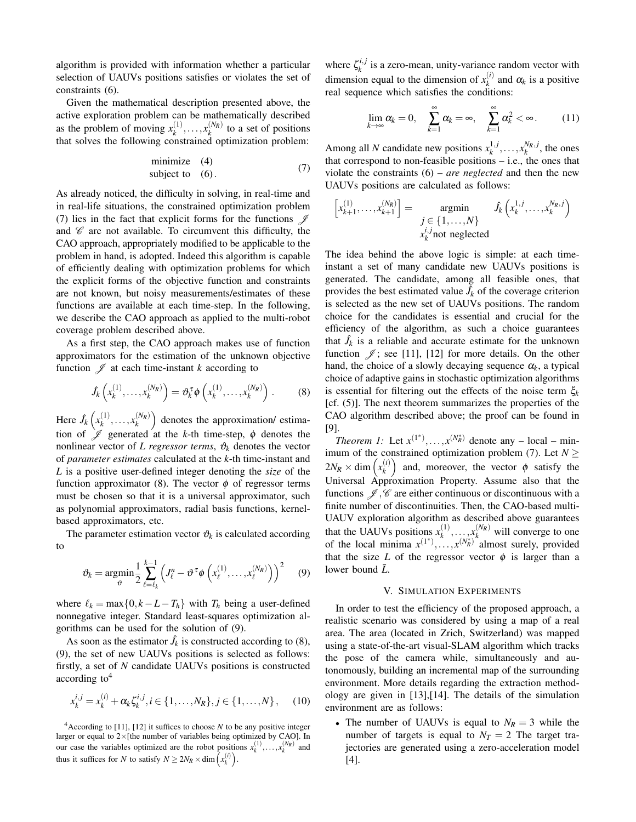algorithm is provided with information whether a particular selection of UAUVs positions satisfies or violates the set of constraints (6).

Given the mathematical description presented above, the active exploration problem can be mathematically described as the problem of moving  $x_k^{(1)}$  $x_k^{(1)}, \ldots, x_k^{(N_R)}$  to a set of positions that solves the following constrained optimization problem:

$$
\begin{array}{ll}\n\text{minimize} & (4) \\
\text{subject to} & (6).\n\end{array} \tag{7}
$$

As already noticed, the difficulty in solving, in real-time and in real-life situations, the constrained optimization problem (7) lies in the fact that explicit forms for the functions  $\mathscr I$ and  $\mathscr C$  are not available. To circumvent this difficulty, the CAO approach, appropriately modified to be applicable to the problem in hand, is adopted. Indeed this algorithm is capable of efficiently dealing with optimization problems for which the explicit forms of the objective function and constraints are not known, but noisy measurements/estimates of these functions are available at each time-step. In the following, we describe the CAO approach as applied to the multi-robot coverage problem described above.

As a first step, the CAO approach makes use of function approximators for the estimation of the unknown objective function  $\mathscr J$  at each time-instant *k* according to

$$
\hat{J}_k\left(x_k^{(1)},\ldots,x_k^{(N_R)}\right) = \vartheta_k^{\tau}\phi\left(x_k^{(1)},\ldots,x_k^{(N_R)}\right). \tag{8}
$$

Here  $\hat{J}_k\left(x_k^{(1)}\right)$  $\left(\begin{matrix}1\\ k\end{matrix}\right), \ldots, \left(\begin{matrix}N_R\end{matrix}\right)$  denotes the approximation/ estimation of  $\mathscr J$  generated at the *k*-th time-step,  $\phi$  denotes the nonlinear vector of *L regressor terms*,  $\vartheta_k$  denotes the vector of *parameter estimates* calculated at the *k*-th time-instant and *L* is a positive user-defined integer denoting the *size* of the function approximator (8). The vector  $\phi$  of regressor terms must be chosen so that it is a universal approximator, such as polynomial approximators, radial basis functions, kernelbased approximators, etc.

The parameter estimation vector  $\theta_k$  is calculated according to

$$
\vartheta_k = \operatorname*{argmin}_{\vartheta} \frac{1}{2} \sum_{\ell=\ell_k}^{k-1} \left( J_{\ell}^n - \vartheta^{\tau} \phi \left( x_{\ell}^{(1)}, \ldots, x_{\ell}^{(N_R)} \right) \right)^2 \quad (9)
$$

where  $\ell_k = \max\{0, k - L - T_h\}$  with  $T_h$  being a user-defined nonnegative integer. Standard least-squares optimization algorithms can be used for the solution of (9).

As soon as the estimator  $\hat{J}_k$  is constructed according to (8), (9), the set of new UAUVs positions is selected as follows: firstly, a set of *N* candidate UAUVs positions is constructed  $according to<sup>4</sup>$ 

$$
x_k^{i,j} = x_k^{(i)} + \alpha_k \zeta_k^{i,j}, i \in \{1, \dots, N_R\}, j \in \{1, \dots, N\},\qquad(10)
$$

<sup>4</sup>According to [11], [12] it suffices to choose *N* to be any positive integer larger or equal to  $2\times$  [the number of variables being optimized by CAO]. In our case the variables optimized are the robot positions  $x_k^{(1)}, \ldots, x_k^{(N_R)}$  and thus it suffices for *N* to satisfy  $N \ge 2N_R \times \dim(x_k^{(i)})$ .

where  $\zeta_k^{i,j}$  $\frac{u_{k,l}}{k}$  is a zero-mean, unity-variance random vector with dimension equal to the dimension of  $x_k^{(i)}$  $\alpha_k^{(i)}$  and  $\alpha_k$  is a positive real sequence which satisfies the conditions:

$$
\lim_{k \to \infty} \alpha_k = 0, \quad \sum_{k=1}^{\infty} \alpha_k = \infty, \quad \sum_{k=1}^{\infty} \alpha_k^2 < \infty. \tag{11}
$$

Among all *N* candidate new positions  $x_k^{1,j}$  $x_k^{(1)}$ ,  $\dots$ ,  $x_k^{N_R}$ , *j*, the ones that correspond to non-feasible positions – i.e., the ones that violate the constraints (6) – *are neglected* and then the new UAUVs positions are calculated as follows:

$$
\begin{bmatrix} x_{k+1}^{(1)}, \dots, x_{k+1}^{(N_R)} \end{bmatrix} = \operatorname*{argmin}_{\substack{j \in \{1, \dots, N\} \\ x_k^{i,j} \text{ not neglected}}} \hat{f}_k \left( x_k^{1,j}, \dots, x_k^{N_R,j} \right)
$$

The idea behind the above logic is simple: at each timeinstant a set of many candidate new UAUVs positions is generated. The candidate, among all feasible ones, that provides the best estimated value  $\hat{J}_k$  of the coverage criterion is selected as the new set of UAUVs positions. The random choice for the candidates is essential and crucial for the efficiency of the algorithm, as such a choice guarantees that  $\hat{J}_k$  is a reliable and accurate estimate for the unknown function  $\mathcal{J}$ ; see [11], [12] for more details. On the other hand, the choice of a slowly decaying sequence  $\alpha_k$ , a typical choice of adaptive gains in stochastic optimization algorithms is essential for filtering out the effects of the noise term  $\xi_k$ [cf. (5)]. The next theorem summarizes the properties of the CAO algorithm described above; the proof can be found in [9].

*Theorem 1:* Let  $x^{(1^*)}, \ldots, x^{(N_R^*)}$  denote any – local – minimum of the constrained optimization problem (7). Let  $N \geq$  $2N_R \times \dim \left( x_k^{(i)} \right)$  $\begin{pmatrix} i \\ k \end{pmatrix}$  and, moreover, the vector  $\phi$  satisfy the Universal Approximation Property. Assume also that the functions  $\mathscr{J}, \mathscr{C}$  are either continuous or discontinuous with a finite number of discontinuities. Then, the CAO-based multi-UAUV exploration algorithm as described above guarantees that the UAUVs positions  $x_k^{(1)}$  $x_k^{(1)}, \ldots, x_k^{(N_R)}$  will converge to one of the local minima  $x^{(1^*)}, \dots, x^{(N_R^*)}$  almost surely, provided that the size *L* of the regressor vector  $\phi$  is larger than a lower bound  $\bar{L}$ .

#### V. SIMULATION EXPERIMENTS

In order to test the efficiency of the proposed approach, a realistic scenario was considered by using a map of a real area. The area (located in Zrich, Switzerland) was mapped using a state-of-the-art visual-SLAM algorithm which tracks the pose of the camera while, simultaneously and autonomously, building an incremental map of the surrounding environment. More details regarding the extraction methodology are given in [13],[14]. The details of the simulation environment are as follows:

• The number of UAUVs is equal to  $N_R = 3$  while the number of targets is equal to  $N_T = 2$  The target trajectories are generated using a zero-acceleration model [4].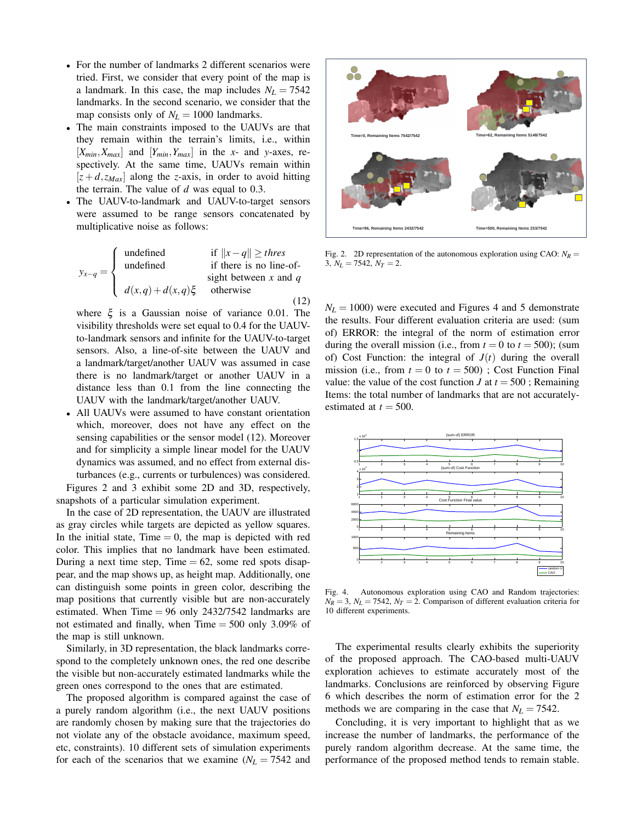- For the number of landmarks 2 different scenarios were tried. First, we consider that every point of the map is a landmark. In this case, the map includes  $N_L = 7542$ landmarks. In the second scenario, we consider that the map consists only of  $N_L = 1000$  landmarks.
- The main constraints imposed to the UAUVs are that they remain within the terrain's limits, i.e., within  $[X_{min}, X_{max}]$  and  $[Y_{min}, Y_{max}]$  in the *x*- and *y*-axes, respectively. At the same time, UAUVs remain within  $[z+d, z_{Max}]$  along the *z*-axis, in order to avoid hitting the terrain. The value of *d* was equal to 0.3.
- The UAUV-to-landmark and UAUV-to-target sensors were assumed to be range sensors concatenated by multiplicative noise as follows:

$$
y_{x-q} = \begin{cases} \text{undefined} & \text{if } ||x - q|| \geq thres \\ \text{undefined} & \text{if there is no line-of-} \\ d(x,q) + d(x,q) \xi & \text{otherwise} \end{cases}
$$
 (12)

where  $\xi$  is a Gaussian noise of variance 0.01. The visibility thresholds were set equal to 0.4 for the UAUVto-landmark sensors and infinite for the UAUV-to-target sensors. Also, a line-of-site between the UAUV and a landmark/target/another UAUV was assumed in case there is no landmark/target or another UAUV in a distance less than 0.1 from the line connecting the UAUV with the landmark/target/another UAUV.

• All UAUVs were assumed to have constant orientation which, moreover, does not have any effect on the sensing capabilities or the sensor model (12). Moreover and for simplicity a simple linear model for the UAUV dynamics was assumed, and no effect from external disturbances (e.g., currents or turbulences) was considered.

Figures 2 and 3 exhibit some 2D and 3D, respectively, snapshots of a particular simulation experiment.

In the case of 2D representation, the UAUV are illustrated as gray circles while targets are depicted as yellow squares. In the initial state, Time  $= 0$ , the map is depicted with red color. This implies that no landmark have been estimated. During a next time step,  $Time = 62$ , some red spots disappear, and the map shows up, as height map. Additionally, one can distinguish some points in green color, describing the map positions that currently visible but are non-accurately estimated. When Time  $= 96$  only 2432/7542 landmarks are not estimated and finally, when Time  $= 500$  only 3.09% of the map is still unknown.

Similarly, in 3D representation, the black landmarks correspond to the completely unknown ones, the red one describe the visible but non-accurately estimated landmarks while the green ones correspond to the ones that are estimated.

The proposed algorithm is compared against the case of a purely random algorithm (i.e., the next UAUV positions are randomly chosen by making sure that the trajectories do not violate any of the obstacle avoidance, maximum speed, etc, constraints). 10 different sets of simulation experiments for each of the scenarios that we examine  $(N_L = 7542$  and



Fig. 2. 2D representation of the autonomous exploration using CAO:  $N_R$  = 3,  $N_L = 7542$ ,  $N_T = 2$ .

 $N_L$  = 1000) were executed and Figures 4 and 5 demonstrate the results. Four different evaluation criteria are used: (sum of) ERROR: the integral of the norm of estimation error during the overall mission (i.e., from  $t = 0$  to  $t = 500$ ); (sum of) Cost Function: the integral of  $J(t)$  during the overall mission (i.e., from  $t = 0$  to  $t = 500$ ); Cost Function Final value: the value of the cost function *J* at  $t = 500$ ; Remaining Items: the total number of landmarks that are not accuratelyestimated at  $t = 500$ .



Fig. 4. Autonomous exploration using CAO and Random trajectories:  $N_R = 3$ ,  $N_L = 7542$ ,  $N_T = 2$ . Comparison of different evaluation criteria for 10 different experiments.

The experimental results clearly exhibits the superiority of the proposed approach. The CAO-based multi-UAUV exploration achieves to estimate accurately most of the landmarks. Conclusions are reinforced by observing Figure 6 which describes the norm of estimation error for the 2 methods we are comparing in the case that  $N_L = 7542$ .

Concluding, it is very important to highlight that as we increase the number of landmarks, the performance of the purely random algorithm decrease. At the same time, the performance of the proposed method tends to remain stable.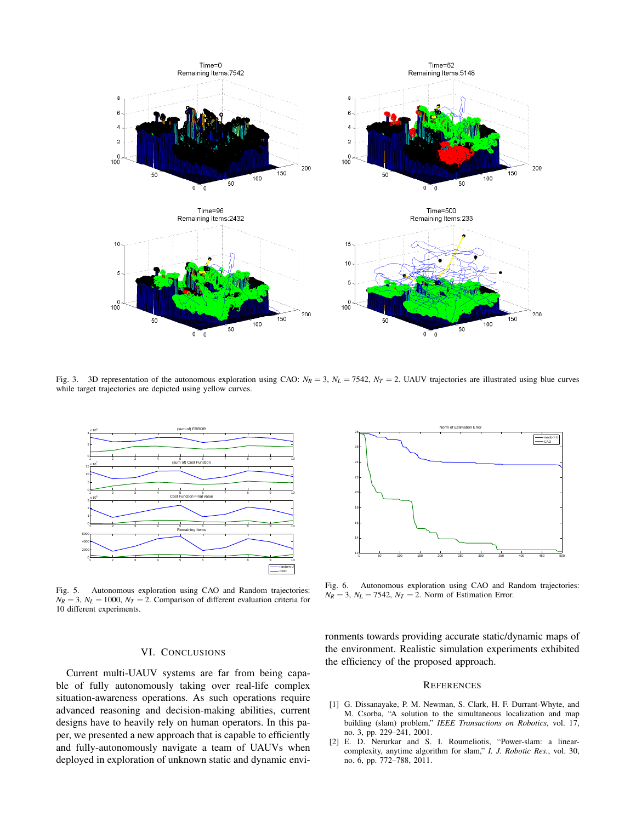

Fig. 3. 3D representation of the autonomous exploration using CAO:  $N_R = 3$ ,  $N_L = 7542$ ,  $N_T = 2$ . UAUV trajectories are illustrated using blue curves while target trajectories are depicted using yellow curves.



Fig. 5. Autonomous exploration using CAO and Random trajectories:  $N_R = 3$ ,  $N_L = 1000$ ,  $N_T = 2$ . Comparison of different evaluation criteria for 10 different experiments.

## VI. CONCLUSIONS

Current multi-UAUV systems are far from being capable of fully autonomously taking over real-life complex situation-awareness operations. As such operations require advanced reasoning and decision-making abilities, current designs have to heavily rely on human operators. In this paper, we presented a new approach that is capable to efficiently and fully-autonomously navigate a team of UAUVs when deployed in exploration of unknown static and dynamic envi-



Fig. 6. Autonomous exploration using CAO and Random trajectories:  $N_R = 3$ ,  $N_L = 7542$ ,  $N_T = 2$ . Norm of Estimation Error.

ronments towards providing accurate static/dynamic maps of the environment. Realistic simulation experiments exhibited the efficiency of the proposed approach.

### **REFERENCES**

- [1] G. Dissanayake, P. M. Newman, S. Clark, H. F. Durrant-Whyte, and M. Csorba, "A solution to the simultaneous localization and map building (slam) problem," *IEEE Transactions on Robotics*, vol. 17, no. 3, pp. 229–241, 2001.
- [2] E. D. Nerurkar and S. I. Roumeliotis, "Power-slam: a linearcomplexity, anytime algorithm for slam," *I. J. Robotic Res.*, vol. 30, no. 6, pp. 772–788, 2011.